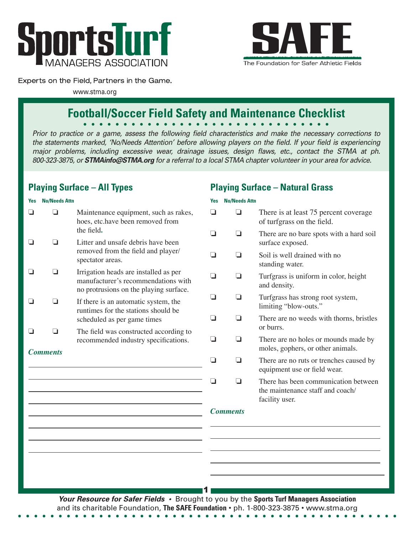



**Playing Surface – Natural Grass**

### Experts on the Field, Partners in the Game.

www.stma.org

# **Football/Soccer Field Safety and Maintenance Checklist**

*Prior to practice or a game, assess the following field characteristics and make the necessary corrections to the statements marked, 'No/Needs Attention' before allowing players on the field. If your field is experiencing major problems, including excessive wear, drainage issues, design flaws, etc., contact the STMA at ph. 800-323-3875, or STMAinfo@STMA.org for a referral to a local STMA chapter volunteer in your area for advice.*

# **Playing Surface – All Types**

#### **Yes No/Needs Attn**  $\Box$  Maintenance equipment, such as rakes, hoes, etc.have been removed from the field**.**  $\Box$   $\Box$  Litter and unsafe debris have been removed from the field and player/ spectator areas.  $\Box$  Irrigation heads are installed as per manufacturer's recommendations with no protrusions on the playing surface.  $\Box$  If there is an automatic system, the runtimes for the stations should be scheduled as per game times  $\Box$   $\Box$  The field was constructed according to recommended industry specifications. *Comments* **Yes No/Needs Attn**  $\Box$  There is at least 75 percent coverage of turfgrass on the field.  $\Box$  There are no bare spots with a hard soil surface exposed.  $\Box$   $\Box$  Soil is well drained with no standing water.  $\Box$  Turfgrass is uniform in color, height and density.  $\Box$   $\Box$  Turfgrass has strong root system, limiting "blow-outs."  $\Box$  There are no weeds with thorns, bristles or burrs.  $\Box$  There are no holes or mounds made by moles, gophers, or other animals.  $\Box$  There are no ruts or trenches caused by equipment use or field wear.  $\Box$   $\Box$  There has been communication between the maintenance staff and coach/ facility user. *Comments* 1 **Your Resource for Safer Fields •** Brought to you by the **Sports Turf Managers Association**

and its charitable Foundation, **The SAFE Foundation** • ph. 1-800-323-3875 • www.stma.org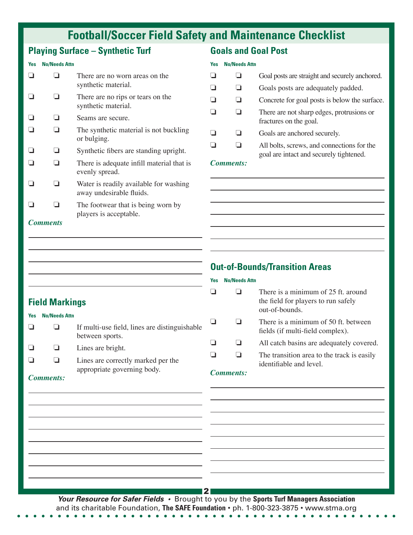# **Football/Soccer Field Safety and Maintenance Checklist**

# **Playing Surface – Synthetic Turf**

#### **Yes No/Needs Attn**

|                 |  | There are no worn areas on the<br>synthetic material.              |
|-----------------|--|--------------------------------------------------------------------|
|                 |  | There are no rips or tears on the<br>synthetic material.           |
|                 |  | Seams are secure.                                                  |
|                 |  | The synthetic material is not buckling<br>or bulging.              |
|                 |  | Synthetic fibers are standing upright.                             |
|                 |  | There is adequate infill material that is<br>evenly spread.        |
|                 |  | Water is readily available for washing<br>away undesirable fluids. |
|                 |  | The footwear that is being worn by<br>players is acceptable.       |
| <b>Comments</b> |  |                                                                    |

## **Goals and Goal Post**

#### **Yes No/Needs Attn**

|                           |  | Goal posts are straight and securely anchored.                                        |
|---------------------------|--|---------------------------------------------------------------------------------------|
|                           |  | Goals posts are adequately padded.                                                    |
|                           |  | Concrete for goal posts is below the surface.                                         |
|                           |  | There are not sharp edges, protrusions or<br>fractures on the goal.                   |
|                           |  | Goals are anchored securely.                                                          |
|                           |  | All bolts, screws, and connections for the<br>goal are intact and securely tightened. |
| $\mathbf{a}$ $\mathbf{a}$ |  |                                                                                       |

#### *Comments:*

# **Out-of-Bounds/Transition Areas**

# **Field Markings**

| Yes | <b>No/Needs Attn</b> |                                                                   |
|-----|----------------------|-------------------------------------------------------------------|
|     |                      | If multi-use field, lines are distinguishable<br>between sports.  |
|     | ப                    | Lines are bright.                                                 |
|     |                      | Lines are correctly marked per the<br>appropriate governing body. |

## **Yes No/Needs Attn**

|           | There is a minimum of 25 ft. around<br>the field for players to run safely<br>out-of-bounds. |
|-----------|----------------------------------------------------------------------------------------------|
|           | There is a minimum of 50 ft. between<br>fields (if multi-field complex).                     |
|           | All catch basins are adequately covered.                                                     |
|           | The transition area to the track is easily<br>identifiable and level.                        |
| Comments: |                                                                                              |

#### *Comments:*

**Your Resource for Safer Fields •** Brought to you by the **Sports Turf Managers Association**  and its charitable Foundation, **The SAFE Foundation** • ph. 1-800-323-3875 • www.stma.org